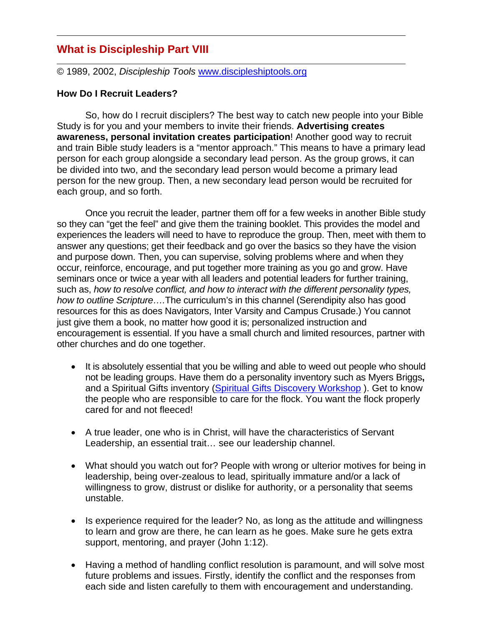# **What is Discipleship Part VIII**

© 1989, 2002, *Discipleship Tools* www.discipleshiptools.org

#### **How Do I Recruit Leaders?**

So, how do I recruit disciplers? The best way to catch new people into your Bible Study is for you and your members to invite their friends. **Advertising creates awareness, personal invitation creates participation**! Another good way to recruit and train Bible study leaders is a "mentor approach." This means to have a primary lead person for each group alongside a secondary lead person. As the group grows, it can be divided into two, and the secondary lead person would become a primary lead person for the new group. Then, a new secondary lead person would be recruited for each group, and so forth.

Once you recruit the leader, partner them off for a few weeks in another Bible study so they can "get the feel" and give them the training booklet. This provides the model and experiences the leaders will need to have to reproduce the group. Then, meet with them to answer any questions; get their feedback and go over the basics so they have the vision and purpose down. Then, you can supervise, solving problems where and when they occur, reinforce, encourage, and put together more training as you go and grow. Have seminars once or twice a year with all leaders and potential leaders for further training, such as, *how to resolve conflict, and how to interact with the different personality types, how to outline Scripture….*The curriculum's in this channel (Serendipity also has good resources for this as does Navigators, Inter Varsity and Campus Crusade.) You cannot just give them a book, no matter how good it is; personalized instruction and encouragement is essential. If you have a small church and limited resources, partner with other churches and do one together.

- It is absolutely essential that you be willing and able to weed out people who should not be leading groups. Have them do a personality inventory such as Myers Briggs**,**  and a Spiritual Gifts inventory (Spiritual Gifts Discovery Workshop ). Get to know the people who are responsible to care for the flock. You want the flock properly cared for and not fleeced!
- A true leader, one who is in Christ, will have the characteristics of Servant Leadership, an essential trait… see our leadership channel.
- What should you watch out for? People with wrong or ulterior motives for being in leadership, being over-zealous to lead, spiritually immature and/or a lack of willingness to grow, distrust or dislike for authority, or a personality that seems unstable.
- Is experience required for the leader? No, as long as the attitude and willingness to learn and grow are there, he can learn as he goes. Make sure he gets extra support, mentoring, and prayer (John 1:12).
- Having a method of handling conflict resolution is paramount, and will solve most future problems and issues. Firstly, identify the conflict and the responses from each side and listen carefully to them with encouragement and understanding.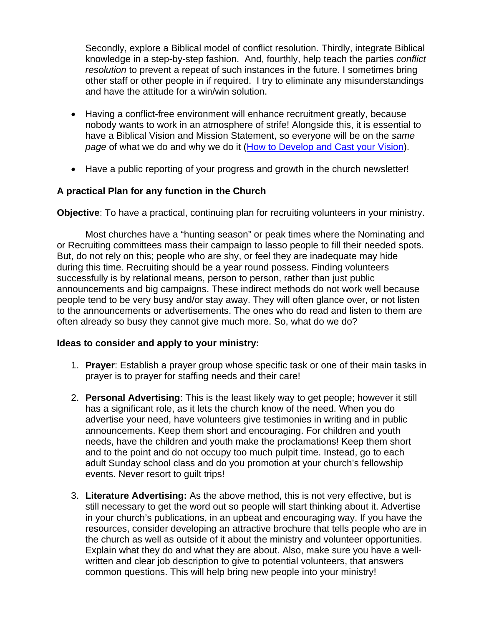Secondly, explore a Biblical model of conflict resolution. Thirdly, integrate Biblical knowledge in a step-by-step fashion. And, fourthly, help teach the parties *conflict resolution* to prevent a repeat of such instances in the future. I sometimes bring other staff or other people in if required. I try to eliminate any misunderstandings and have the attitude for a win/win solution.

- Having a conflict-free environment will enhance recruitment greatly, because nobody wants to work in an atmosphere of strife! Alongside this, it is essential to have a Biblical Vision and Mission Statement, so everyone will be on the *same page* of what we do and why we do it (How to Develop and Cast your Vision).
- Have a public reporting of your progress and growth in the church newsletter!

## **A practical Plan for any function in the Church**

**Objective**: To have a practical, continuing plan for recruiting volunteers in your ministry.

 Most churches have a "hunting season" or peak times where the Nominating and or Recruiting committees mass their campaign to lasso people to fill their needed spots. But, do not rely on this; people who are shy, or feel they are inadequate may hide during this time. Recruiting should be a year round possess. Finding volunteers successfully is by relational means, person to person, rather than just public announcements and big campaigns. These indirect methods do not work well because people tend to be very busy and/or stay away. They will often glance over, or not listen to the announcements or advertisements. The ones who do read and listen to them are often already so busy they cannot give much more. So, what do we do?

#### **Ideas to consider and apply to your ministry:**

- 1. **Prayer**: Establish a prayer group whose specific task or one of their main tasks in prayer is to prayer for staffing needs and their care!
- 2. **Personal Advertising**: This is the least likely way to get people; however it still has a significant role, as it lets the church know of the need. When you do advertise your need, have volunteers give testimonies in writing and in public announcements. Keep them short and encouraging. For children and youth needs, have the children and youth make the proclamations! Keep them short and to the point and do not occupy too much pulpit time. Instead, go to each adult Sunday school class and do you promotion at your church's fellowship events. Never resort to guilt trips!
- 3. **Literature Advertising:** As the above method, this is not very effective, but is still necessary to get the word out so people will start thinking about it. Advertise in your church's publications, in an upbeat and encouraging way. If you have the resources, consider developing an attractive brochure that tells people who are in the church as well as outside of it about the ministry and volunteer opportunities. Explain what they do and what they are about. Also, make sure you have a wellwritten and clear job description to give to potential volunteers, that answers common questions. This will help bring new people into your ministry!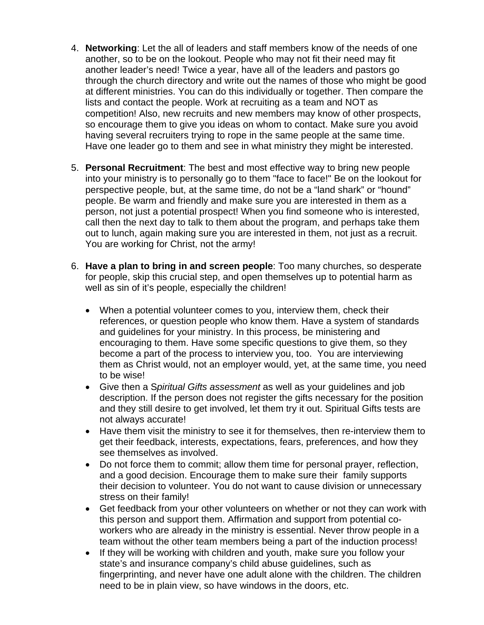- 4. **Networking**: Let the all of leaders and staff members know of the needs of one another, so to be on the lookout. People who may not fit their need may fit another leader's need! Twice a year, have all of the leaders and pastors go through the church directory and write out the names of those who might be good at different ministries. You can do this individually or together. Then compare the lists and contact the people. Work at recruiting as a team and NOT as competition! Also, new recruits and new members may know of other prospects, so encourage them to give you ideas on whom to contact. Make sure you avoid having several recruiters trying to rope in the same people at the same time. Have one leader go to them and see in what ministry they might be interested.
- 5. **Personal Recruitment**: The best and most effective way to bring new people into your ministry is to personally go to them "face to face!" Be on the lookout for perspective people, but, at the same time, do not be a "land shark" or "hound" people. Be warm and friendly and make sure you are interested in them as a person, not just a potential prospect! When you find someone who is interested, call then the next day to talk to them about the program, and perhaps take them out to lunch, again making sure you are interested in them, not just as a recruit. You are working for Christ, not the army!
- 6. **Have a plan to bring in and screen people**: Too many churches, so desperate for people, skip this crucial step, and open themselves up to potential harm as well as sin of it's people, especially the children!
	- When a potential volunteer comes to you, interview them, check their references, or question people who know them. Have a system of standards and guidelines for your ministry. In this process, be ministering and encouraging to them. Have some specific questions to give them, so they become a part of the process to interview you, too. You are interviewing them as Christ would, not an employer would, yet, at the same time, you need to be wise!
	- Give then a S*piritual Gifts assessment* as well as your guidelines and job description. If the person does not register the gifts necessary for the position and they still desire to get involved, let them try it out. Spiritual Gifts tests are not always accurate!
	- Have them visit the ministry to see it for themselves, then re-interview them to get their feedback, interests, expectations, fears, preferences, and how they see themselves as involved.
	- Do not force them to commit; allow them time for personal prayer, reflection, and a good decision. Encourage them to make sure their family supports their decision to volunteer. You do not want to cause division or unnecessary stress on their family!
	- Get feedback from your other volunteers on whether or not they can work with this person and support them. Affirmation and support from potential coworkers who are already in the ministry is essential. Never throw people in a team without the other team members being a part of the induction process!
	- If they will be working with children and youth, make sure you follow your state's and insurance company's child abuse guidelines, such as fingerprinting, and never have one adult alone with the children. The children need to be in plain view, so have windows in the doors, etc.